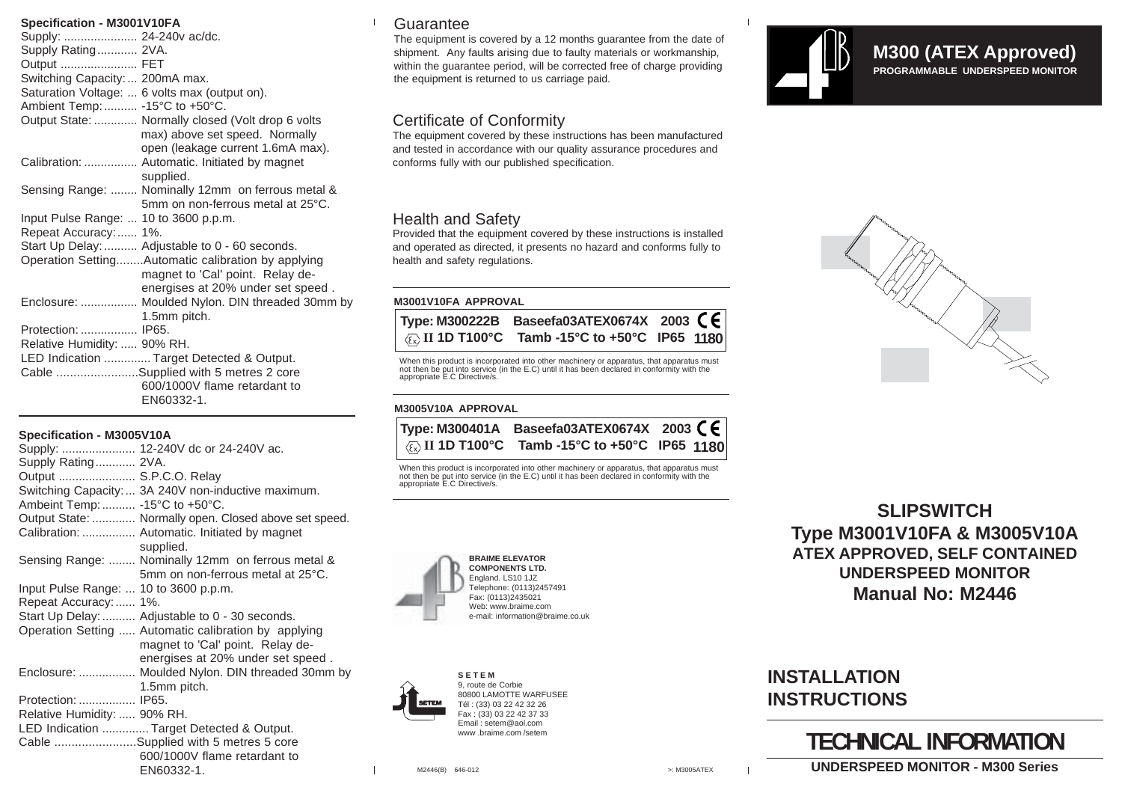### **Specification - M3001V10FA**

| Supply:  24-240v ac/dc.               |                                                    |
|---------------------------------------|----------------------------------------------------|
| Supply Rating 2VA.                    |                                                    |
| Output  FET                           |                                                    |
| Switching Capacity:  200mA max.       |                                                    |
|                                       | Saturation Voltage:  6 volts max (output on).      |
| Ambient Temp:  -15°C to +50°C.        |                                                    |
|                                       | Output State:  Normally closed (Volt drop 6 volts  |
|                                       | max) above set speed. Normally                     |
|                                       | open (leakage current 1.6mA max).                  |
|                                       | Calibration:  Automatic. Initiated by magnet       |
|                                       | supplied.                                          |
|                                       | Sensing Range:  Nominally 12mm on ferrous metal &  |
|                                       | 5mm on non-ferrous metal at 25°C.                  |
|                                       |                                                    |
| Input Pulse Range:  10 to 3600 p.p.m. |                                                    |
| Repeat Accuracy: 1%.                  |                                                    |
|                                       | Start Up Delay:  Adjustable to 0 - 60 seconds.     |
|                                       | Operation SettingAutomatic calibration by applying |
|                                       | magnet to 'Cal' point. Relay de-                   |
|                                       | energises at 20% under set speed.                  |
|                                       | Enclosure:  Moulded Nylon. DIN threaded 30mm by    |
|                                       | 1.5mm pitch.                                       |
| Protection:  IP65.                    |                                                    |
| Relative Humidity:  90% RH.           |                                                    |
|                                       | LED Indication  Target Detected & Output.          |
|                                       | Cable Supplied with 5 metres 2 core                |
|                                       | 600/1000V flame retardant to                       |
|                                       | EN60332-1.                                         |
|                                       |                                                    |

### **Specification - M3005V10A**

|                                       | Supply:  12-240V dc or 24-240V ac.                                                                                            |
|---------------------------------------|-------------------------------------------------------------------------------------------------------------------------------|
| Supply Rating 2VA.                    |                                                                                                                               |
| Output  S.P.C.O. Relay                |                                                                                                                               |
|                                       | Switching Capacity:  3A 240V non-inductive maximum.                                                                           |
| Ambeint Temp:  -15°C to +50°C.        |                                                                                                                               |
|                                       | Output State:  Normally open. Closed above set speed.                                                                         |
|                                       | Calibration:  Automatic. Initiated by magnet<br>supplied.                                                                     |
|                                       | Sensing Range:  Nominally 12mm on ferrous metal &<br>5mm on non-ferrous metal at 25°C.                                        |
| Input Pulse Range:  10 to 3600 p.p.m. |                                                                                                                               |
| Repeat Accuracy:  1%.                 |                                                                                                                               |
|                                       | Start Up Delay:  Adjustable to 0 - 30 seconds.                                                                                |
|                                       | Operation Setting  Automatic calibration by applying<br>magnet to 'Cal' point. Relay de-<br>energises at 20% under set speed. |
|                                       | Enclosure:  Moulded Nylon. DIN threaded 30mm by                                                                               |
|                                       | 1.5mm pitch.                                                                                                                  |
| Protection:  IP65.                    |                                                                                                                               |
| Relative Humidity:  90% RH.           |                                                                                                                               |
|                                       | LED Indication  Target Detected & Output.                                                                                     |
|                                       | Cable Supplied with 5 metres 5 core                                                                                           |
|                                       | 600/1000V flame retardant to                                                                                                  |
|                                       | EN60332-1.                                                                                                                    |

## **Guarantee**

The equipment is covered by a 12 months guarantee from the date of shipment. Any faults arising due to faulty materials or workmanship, within the guarantee period, will be corrected free of charge providing the equipment is returned to us carriage paid.

# Certificate of Conformity

The equipment covered by these instructions has been manufactured and tested in accordance with our quality assurance procedures and conforms fully with our published specification.

# Health and Safety

Provided that the equipment covered by these instructions is installed and operated as directed, it presents no hazard and conforms fully to health and safety regulations.

### **M3001V10FA APPROVAL**

|  | Type: M300222B Baseefa03ATEX0674X 2003 $\textsf{CE}$                |  |
|--|---------------------------------------------------------------------|--|
|  | $\frac{1}{\sqrt{(\xi)}}$ II 1D T100°C Tamb -15°C to +50°C IP65 1180 |  |

When this product is incorporated into other machinery or apparatus, that apparatus must not then be put into service (in the E.C) until it has been declared in conformity with the appropriate E.C Directive/s.

### **M3005V10A APPROVAL**

|  | Type: M300401A Baseefa03ATEX0674X 2003 $\zeta \epsilon$                        |  |
|--|--------------------------------------------------------------------------------|--|
|  | $ \langle \overline{\xi_x} \rangle$ II 1D T100°C Tamb -15°C to +50°C IP65 1180 |  |

When this product is incorporated into other machinery or apparatus, that apparatus must not then be put into service (in the E.C) until it has been declared in conformity with the appropriate E.C Directive/s.





**S E T E M** 9, route de Corbie 80800 LAMOTTE WARFUSEE Tél : (33) 03 22 42 32 26 Fax : (33) 03 22 42 37 33 Email : setem@aol.com www. braime.com/setem

**SLIPSWITCH Type M3001V10FA & M3005V10A ATEX APPROVED, SELF CONTAINED UNDERSPEED MONITOR Manual No: M2446**

# **INSTALLATION INSTRUCTIONS**

# **TECHNICAL INFORMATION**